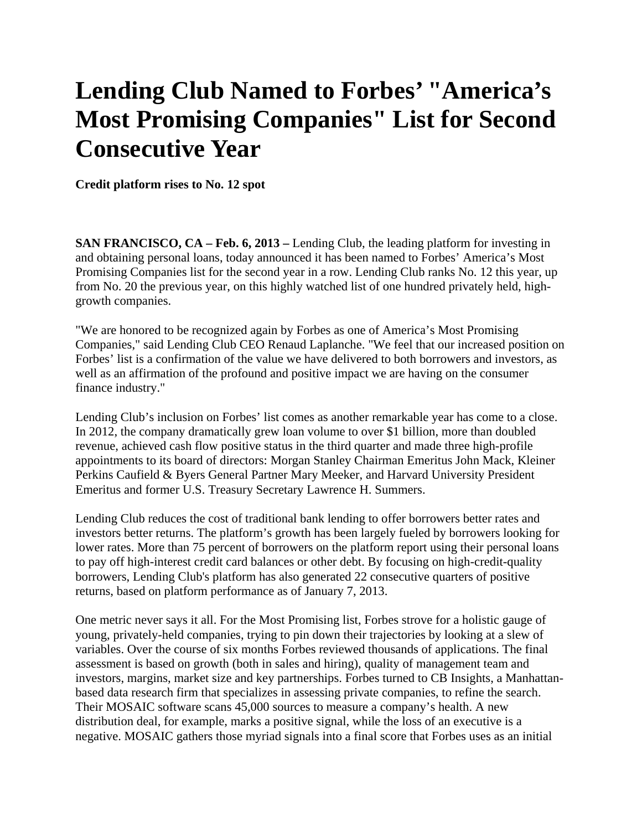## **Lending Club Named to Forbes' "America's Most Promising Companies" List for Second Consecutive Year**

**Credit platform rises to No. 12 spot** 

**SAN FRANCISCO, CA – Feb. 6, 2013 – Lending Club, the leading platform for investing in** and obtaining personal loans, today announced it has been named to Forbes' America's Most Promising Companies list for the second year in a row. Lending Club ranks No. 12 this year, up from No. 20 the previous year, on this highly watched list of one hundred privately held, highgrowth companies.

"We are honored to be recognized again by Forbes as one of America's Most Promising Companies," said Lending Club CEO Renaud Laplanche. "We feel that our increased position on Forbes' list is a confirmation of the value we have delivered to both borrowers and investors, as well as an affirmation of the profound and positive impact we are having on the consumer finance industry."

Lending Club's inclusion on Forbes' list comes as another remarkable year has come to a close. In 2012, the company dramatically grew loan volume to over \$1 billion, more than doubled revenue, achieved cash flow positive status in the third quarter and made three high-profile appointments to its board of directors: Morgan Stanley Chairman Emeritus John Mack, Kleiner Perkins Caufield & Byers General Partner Mary Meeker, and Harvard University President Emeritus and former U.S. Treasury Secretary Lawrence H. Summers.

Lending Club reduces the cost of traditional bank lending to offer borrowers better rates and investors better returns. The platform's growth has been largely fueled by borrowers looking for lower rates. More than 75 percent of borrowers on the platform report using their personal loans to pay off high-interest credit card balances or other debt. By focusing on high-credit-quality borrowers, Lending Club's platform has also generated 22 consecutive quarters of positive returns, based on platform performance as of January 7, 2013.

One metric never says it all. For the Most Promising list, Forbes strove for a holistic gauge of young, privately-held companies, trying to pin down their trajectories by looking at a slew of variables. Over the course of six months Forbes reviewed thousands of applications. The final assessment is based on growth (both in sales and hiring), quality of management team and investors, margins, market size and key partnerships. Forbes turned to CB Insights, a Manhattanbased data research firm that specializes in assessing private companies, to refine the search. Their MOSAIC software scans 45,000 sources to measure a company's health. A new distribution deal, for example, marks a positive signal, while the loss of an executive is a negative. MOSAIC gathers those myriad signals into a final score that Forbes uses as an initial